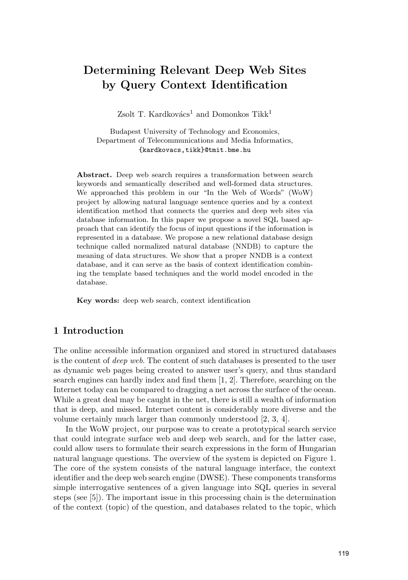# **Determining Relevant Deep Web Sites by Query Context Identification**

Zsolt T. Kardkovács<sup>1</sup> and Domonkos Tikk<sup>1</sup>

Budapest University of Technology and Economics, Department of Telecommunications and Media Informatics, {kardkovacs,tikk}@tmit.bme.hu

**Abstract.** Deep web search requires a transformation between search keywords and semantically described and well-formed data structures. We approached this problem in our "In the Web of Words" (WoW) project by allowing natural language sentence queries and by a context identification method that connects the queries and deep web sites via database information. In this paper we propose a novel SQL based approach that can identify the focus of input questions if the information is represented in a database. We propose a new relational database design technique called normalized natural database (NNDB) to capture the meaning of data structures. We show that a proper NNDB is a context database, and it can serve as the basis of context identification combining the template based techniques and the world model encoded in the database.

**Key words:** deep web search, context identification

### **1 Introduction**

The online accessible information organized and stored in structured databases is the content of deep web. The content of such databases is presented to the user as dynamic web pages being created to answer user's query, and thus standard search engines can hardly index and find them [1, 2]. Therefore, searching on the Internet today can be compared to dragging a net across the surface of the ocean. While a great deal may be caught in the net, there is still a wealth of information that is deep, and missed. Internet content is considerably more diverse and the volume certainly much larger than commonly understood [2, 3, 4].

In the WoW project, our purpose was to create a prototypical search service that could integrate surface web and deep web search, and for the latter case, could allow users to formulate their search expressions in the form of Hungarian natural language questions. The overview of the system is depicted on Figure 1. The core of the system consists of the natural language interface, the context identifier and the deep web search engine (DWSE). These components transforms simple interrogative sentences of a given language into SQL queries in several steps (see [5]). The important issue in this processing chain is the determination of the context (topic) of the question, and databases related to the topic, which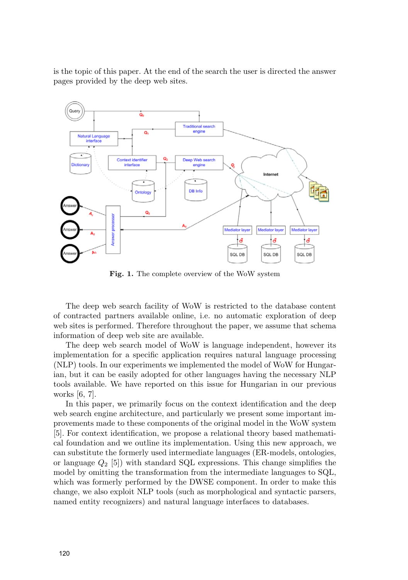is the topic of this paper. At the end of the search the user is directed the answer pages provided by the deep web sites.



**Fig. 1.** The complete overview of the WoW system

The deep web search facility of WoW is restricted to the database content of contracted partners available online, i.e. no automatic exploration of deep web sites is performed. Therefore throughout the paper, we assume that schema information of deep web site are available.

The deep web search model of WoW is language independent, however its implementation for a specific application requires natural language processing (NLP) tools. In our experiments we implemented the model of WoW for Hungarian, but it can be easily adopted for other languages having the necessary NLP tools available. We have reported on this issue for Hungarian in our previous works [6, 7].

In this paper, we primarily focus on the context identification and the deep web search engine architecture, and particularly we present some important improvements made to these components of the original model in the WoW system [5]. For context identification, we propose a relational theory based mathematical foundation and we outline its implementation. Using this new approach, we can substitute the formerly used intermediate languages (ER-models, ontologies, or language  $Q_2$  [5]) with standard SQL expressions. This change simplifies the model by omitting the transformation from the intermediate languages to SQL, which was formerly performed by the DWSE component. In order to make this change, we also exploit NLP tools (such as morphological and syntactic parsers, named entity recognizers) and natural language interfaces to databases.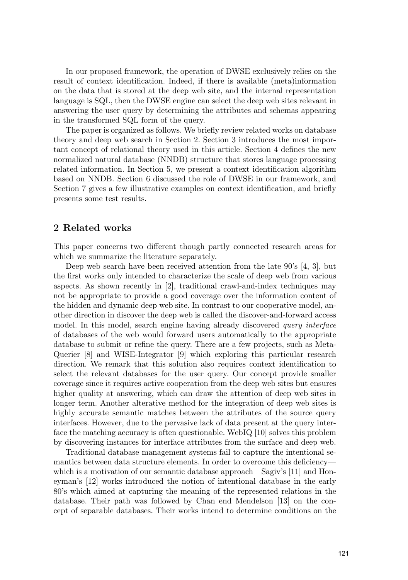In our proposed framework, the operation of DWSE exclusively relies on the result of context identification. Indeed, if there is available (meta)information on the data that is stored at the deep web site, and the internal representation language is SQL, then the DWSE engine can select the deep web sites relevant in answering the user query by determining the attributes and schemas appearing in the transformed SQL form of the query.

The paper is organized as follows. We briefly review related works on database theory and deep web search in Section 2. Section 3 introduces the most important concept of relational theory used in this article. Section 4 defines the new normalized natural database (NNDB) structure that stores language processing related information. In Section 5, we present a context identification algorithm based on NNDB. Section 6 discussed the role of DWSE in our framework, and Section 7 gives a few illustrative examples on context identification, and briefly presents some test results.

#### **2 Related works**

This paper concerns two different though partly connected research areas for which we summarize the literature separately.

Deep web search have been received attention from the late 90's [4, 3], but the first works only intended to characterize the scale of deep web from various aspects. As shown recently in [2], traditional crawl-and-index techniques may not be appropriate to provide a good coverage over the information content of the hidden and dynamic deep web site. In contrast to our cooperative model, another direction in discover the deep web is called the discover-and-forward access model. In this model, search engine having already discovered *query interface* of databases of the web would forward users automatically to the appropriate database to submit or refine the query. There are a few projects, such as Meta-Querier [8] and WISE-Integrator [9] which exploring this particular research direction. We remark that this solution also requires context identification to select the relevant databases for the user query. Our concept provide smaller coverage since it requires active cooperation from the deep web sites but ensures higher quality at answering, which can draw the attention of deep web sites in longer term. Another alterative method for the integration of deep web sites is highly accurate semantic matches between the attributes of the source query interfaces. However, due to the pervasive lack of data present at the query interface the matching accuracy is often questionable. WebIQ [10] solves this problem by discovering instances for interface attributes from the surface and deep web.

Traditional database management systems fail to capture the intentional semantics between data structure elements. In order to overcome this deficiency which is a motivation of our semantic database approach—Sagiv's [11] and Honeyman's [12] works introduced the notion of intentional database in the early 80's which aimed at capturing the meaning of the represented relations in the database. Their path was followed by Chan end Mendelson [13] on the concept of separable databases. Their works intend to determine conditions on the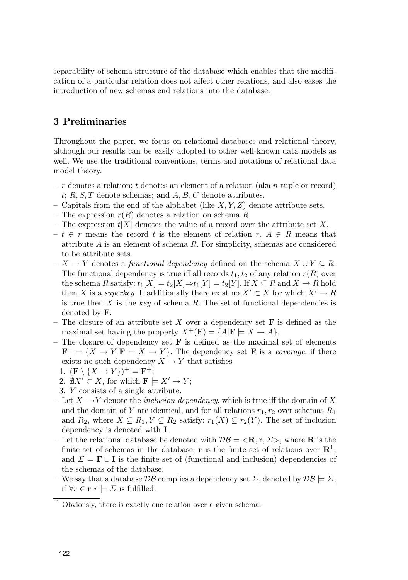separability of schema structure of the database which enables that the modification of a particular relation does not affect other relations, and also eases the introduction of new schemas end relations into the database.

## **3 Preliminaries**

Throughout the paper, we focus on relational databases and relational theory, although our results can be easily adopted to other well-known data models as well. We use the traditional conventions, terms and notations of relational data model theory.

- $r$  denotes a relation; t denotes an element of a relation (aka n-tuple or record)  $t; R, S, T$  denote schemas; and  $A, B, C$  denote attributes.
- Capitals from the end of the alphabet (like  $X, Y, Z$ ) denote attribute sets.
- The expression  $r(R)$  denotes a relation on schema R.
- The expression  $t[X]$  denotes the value of a record over the attribute set X.
- $-t \in r$  means the record t is the element of relation r. A ∈ R means that attribute  $A$  is an element of schema  $R$ . For simplicity, schemas are considered to be attribute sets.
- $-X \to Y$  denotes a *functional dependency* defined on the schema  $X \cup Y \subseteq R$ . The functional dependency is true iff all records  $t_1, t_2$  of any relation  $r(R)$  over the schema R satisfy:  $t_1[X] = t_2[X] \Rightarrow t_1[Y] = t_2[Y]$ . If  $X \subseteq R$  and  $X \to R$  hold then X is a superkey. If additionally there exist no  $X' \subset X$  for which  $X' \to R$ is true then X is the key of schema R. The set of functional dependencies is denoted by **F**.
- The closure of an attribute set  $X$  over a dependency set  $\mathbf{F}$  is defined as the maximal set having the property  $X^+(\mathbf{F}) = \{A | \mathbf{F} \models X \to A\}.$
- The closure of dependency set  $\bf{F}$  is defined as the maximal set of elements  $\mathbf{F}^+ = \{X \to Y | \mathbf{F} \models X \to Y\}.$  The dependency set **F** is a *coverage*, if there exists no such dependency  $X \to Y$  that satisfies
	- 1.  $(\mathbf{F} \setminus \{X \to Y\})^+ = \mathbf{F}^+;$
	- 2.  $\overrightarrow{A}X' \subset X$ , for which  $\mathbf{F} \models X' \to Y$ ;
	- 3. Y consists of a single attribute.
- Let  $X \rightarrow Y$  denote the *inclusion dependency*, which is true iff the domain of X and the domain of Y are identical, and for all relations  $r_1, r_2$  over schemas  $R_1$ and  $R_2$ , where  $X \subseteq R_1, Y \subseteq R_2$  satisfy:  $r_1(X) \subseteq r_2(Y)$ . The set of inclusion dependency is denoted with **I**.
- Let the relational database be denoted with  $\mathcal{DB} = \langle \mathbf{R}, \mathbf{r}, \Sigma \rangle$ , where **R** is the finite set of schemas in the database, **r** is the finite set of relations over  $\mathbb{R}^1$ , and  $\Sigma = \mathbf{F} \cup \mathbf{I}$  is the finite set of (functional and inclusion) dependencies of the schemas of the database.
- We say that a database  $\mathcal{DB}$  complies a dependency set  $\Sigma$ , denoted by  $\mathcal{DB} \models \Sigma$ , if  $∀r ∈ **r** r |= ∑$  is fulfilled.

<sup>1</sup> Obviously, there is exactly one relation over a given schema.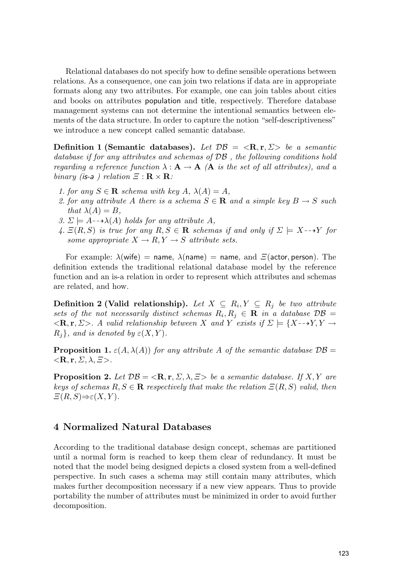Relational databases do not specify how to define sensible operations between relations. As a consequence, one can join two relations if data are in appropriate formats along any two attributes. For example, one can join tables about cities and books on attributes population and title, respectively. Therefore database management systems can not determine the intentional semantics between elements of the data structure. In order to capture the notion "self-descriptiveness" we introduce a new concept called semantic database.

**Definition 1 (Semantic databases).** Let  $\mathcal{DB} = \langle \mathbf{R}, \mathbf{r}, \Sigma \rangle$  be a semantic database if for any attributes and schemas of  $\mathcal{DB}$ , the following conditions hold regarding a reference function  $\lambda : \mathbf{A} \to \mathbf{A}$  ( $\mathbf{A}$  is the set of all attributes), and a  $\text{binary}$  (is-a) relation  $\Xi : \mathbf{R} \times \mathbf{R}$ :

- 1. for any  $S \in \mathbf{R}$  schema with key  $A$ ,  $\lambda(A) = A$ ,
- 2. for any attribute A there is a schema  $S \in \mathbf{R}$  and a simple key  $B \to S$  such that  $\lambda(A) = B$ ,
- 3.  $\Sigma \models A \rightarrow \lambda(A)$  holds for any attribute A,
- 4.  $E(R, S)$  is true for any  $R, S \in \mathbf{R}$  schemas if and only if  $\Sigma \models X \rightarrow Y$  for some appropriate  $X \to R, Y \to S$  attribute sets.

For example:  $\lambda$ (wife) = name,  $\lambda$ (name) = name, and  $\Xi$ (actor, person). The definition extends the traditional relational database model by the reference function and an is-a relation in order to represent which attributes and schemas are related, and how.

**Definition 2 (Valid relationship).** Let  $X \subseteq R_i, Y \subseteq R_j$  be two attribute sets of the not necessarily distinct schemas  $R_i, R_j \in \mathbf{R}$  in a database  $\mathcal{DB} =$  $\langle R, \mathbf{r}, \Sigma \rangle$ . A valid relationship between X and Y exists if  $\Sigma \models \{X \rightarrow Y, Y \rightarrow Y\}$  $R_i$ , and is denoted by  $\varepsilon(X, Y)$ .

**Proposition 1.**  $\varepsilon(A, \lambda(A))$  for any attribute A of the semantic database  $\mathcal{DB}$  =  $\langle \mathbf{R}, \mathbf{r}, \Sigma, \lambda, \Xi \rangle$ .

**Proposition 2.** Let  $\mathcal{DB} = \langle \mathbf{R}, \mathbf{r}, \Sigma, \lambda, \Xi \rangle$  be a semantic database. If X, Y are keys of schemas  $R, S \in \mathbf{R}$  respectively that make the relation  $\Xi(R, S)$  valid, then  $\Xi(R, S) \Rightarrow \varepsilon(X, Y)$ .

#### **4 Normalized Natural Databases**

According to the traditional database design concept, schemas are partitioned until a normal form is reached to keep them clear of redundancy. It must be noted that the model being designed depicts a closed system from a well-defined perspective. In such cases a schema may still contain many attributes, which makes further decomposition necessary if a new view appears. Thus to provide portability the number of attributes must be minimized in order to avoid further decomposition.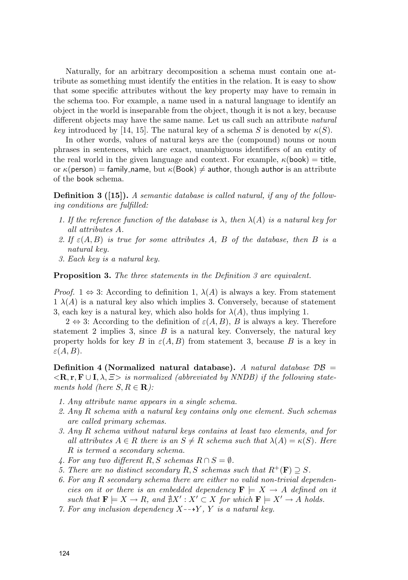Naturally, for an arbitrary decomposition a schema must contain one attribute as something must identify the entities in the relation. It is easy to show that some specific attributes without the key property may have to remain in the schema too. For example, a name used in a natural language to identify an object in the world is inseparable from the object, though it is not a key, because different objects may have the same name. Let us call such an attribute natural key introduced by [14, 15]. The natural key of a schema S is denoted by  $\kappa(S)$ .

In other words, values of natural keys are the (compound) nouns or noun phrases in sentences, which are exact, unambiguous identifiers of an entity of the real world in the given language and context. For example,  $\kappa$ (book) = title, or  $\kappa$ (person) = family\_name, but  $\kappa$ (Book)  $\neq$  author, though author is an attribute of the book schema.

**Definition 3 ([15]).** A semantic database is called natural, if any of the following conditions are fulfilled:

- 1. If the reference function of the database is  $\lambda$ , then  $\lambda(A)$  is a natural key for all attributes A.
- 2. If  $\varepsilon(A, B)$  is true for some attributes A, B of the database, then B is a natural key.
- 3. Each key is a natural key.

**Proposition 3.** The three statements in the Definition 3 are equivalent.

*Proof.* 1  $\Leftrightarrow$  3: According to definition 1,  $\lambda(A)$  is always a key. From statement  $1 \lambda(A)$  is a natural key also which implies 3. Conversely, because of statement 3, each key is a natural key, which also holds for  $\lambda(A)$ , thus implying 1.

 $2 \Leftrightarrow 3$ : According to the definition of  $\varepsilon(A, B)$ , B is always a key. Therefore statement 2 implies 3, since  $B$  is a natural key. Conversely, the natural key property holds for key B in  $\varepsilon(A, B)$  from statement 3, because B is a key in  $\varepsilon(A, B)$ .

**Definition 4 (Normalized natural database).** A natural database  $DB =$  $\langle R, \mathbf{r}, \mathbf{F} \cup \mathbf{I}, \lambda, \Sigma \rangle$  is normalized (abbreviated by NNDB) if the following statements hold (here  $S, R \in \mathbf{R}$ ):

- 1. Any attribute name appears in a single schema.
- 2. Any R schema with a natural key contains only one element. Such schemas are called primary schemas.
- 3. Any R schema without natural keys contains at least two elements, and for all attributes  $A \in R$  there is an  $S \neq R$  schema such that  $\lambda(A) = \kappa(S)$ . Here R is termed a secondary schema.
- 4. For any two different R, S schemas  $R \cap S = \emptyset$ .
- 5. There are no distinct secondary R, S schemas such that  $R^+(\mathbf{F}) \supseteq S$ .
- 6. For any R secondary schema there are either no valid non-trivial dependencies on it or there is an embedded dependency  $\mathbf{F} \models X \rightarrow A$  defined on it such that  $\mathbf{F} \models X \to R$ , and  $\sharp X' : X' \subset X$  for which  $\mathbf{F} \models X' \to A$  holds.
- 7. For any inclusion dependency  $X \rightarrow Y$ , Y is a natural key.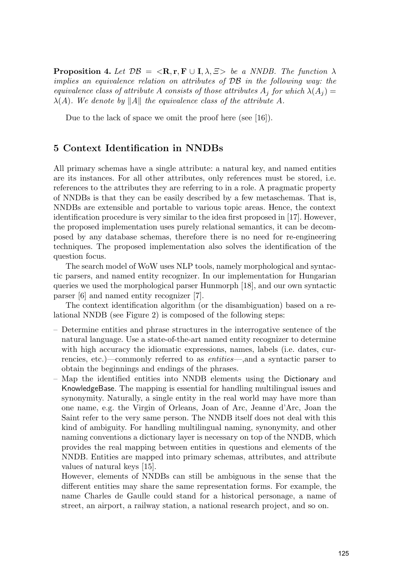**Proposition 4.** Let  $\mathcal{DB} = \langle \mathbf{R}, \mathbf{r}, \mathbf{F} \cup \mathbf{I}, \lambda, \exists \rangle$  be a NNDB. The function  $\lambda$ implies an equivalence relation on attributes of DB in the following way: the equivalence class of attribute A consists of those attributes  $A_i$  for which  $\lambda(A_i)$  =  $\lambda(A)$ . We denote by ||A|| the equivalence class of the attribute A.

Due to the lack of space we omit the proof here (see [16]).

#### **5 Context Identification in NNDBs**

All primary schemas have a single attribute: a natural key, and named entities are its instances. For all other attributes, only references must be stored, i.e. references to the attributes they are referring to in a role. A pragmatic property of NNDBs is that they can be easily described by a few metaschemas. That is, NNDBs are extensible and portable to various topic areas. Hence, the context identification procedure is very similar to the idea first proposed in [17]. However, the proposed implementation uses purely relational semantics, it can be decomposed by any database schemas, therefore there is no need for re-engineering techniques. The proposed implementation also solves the identification of the question focus.

The search model of WoW uses NLP tools, namely morphological and syntactic parsers, and named entity recognizer. In our implementation for Hungarian queries we used the morphological parser Hunmorph [18], and our own syntactic parser [6] and named entity recognizer [7].

The context identification algorithm (or the disambiguation) based on a relational NNDB (see Figure 2) is composed of the following steps:

- Determine entities and phrase structures in the interrogative sentence of the natural language. Use a state-of-the-art named entity recognizer to determine with high accuracy the idiomatic expressions, names, labels (i.e. dates, currencies, etc.)—commonly referred to as entities—,and a syntactic parser to obtain the beginnings and endings of the phrases.
- Map the identified entities into NNDB elements using the Dictionary and KnowledgeBase. The mapping is essential for handling multilingual issues and synonymity. Naturally, a single entity in the real world may have more than one name, e.g. the Virgin of Orleans, Joan of Arc, Jeanne d'Arc, Joan the Saint refer to the very same person. The NNDB itself does not deal with this kind of ambiguity. For handling multilingual naming, synonymity, and other naming conventions a dictionary layer is necessary on top of the NNDB, which provides the real mapping between entities in questions and elements of the NNDB. Entities are mapped into primary schemas, attributes, and attribute values of natural keys [15].

However, elements of NNDBs can still be ambiguous in the sense that the different entities may share the same representation forms. For example, the name Charles de Gaulle could stand for a historical personage, a name of street, an airport, a railway station, a national research project, and so on.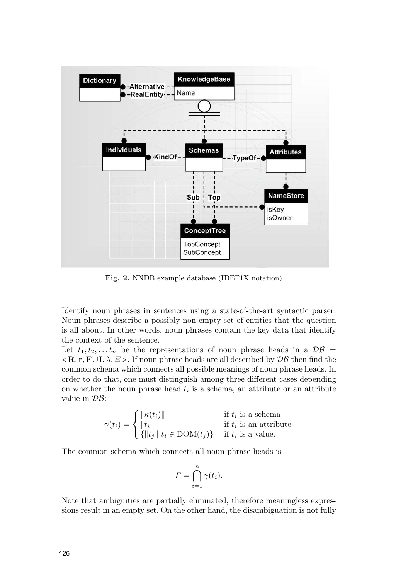

**Fig. 2.** NNDB example database (IDEF1X notation).

- Identify noun phrases in sentences using a state-of-the-art syntactic parser. Noun phrases describe a possibly non-empty set of entities that the question is all about. In other words, noun phrases contain the key data that identify the context of the sentence.
- Let  $t_1, t_2, \ldots t_n$  be the representations of noun phrase heads in a  $\mathcal{DB}$  =  $\langle \mathbf{R}, \mathbf{r}, \mathbf{F} \cup \mathbf{I}, \lambda, \Xi \rangle$ . If noun phrase heads are all described by  $\mathcal{DB}$  then find the common schema which connects all possible meanings of noun phrase heads. In order to do that, one must distinguish among three different cases depending on whether the noun phrase head  $t_i$  is a schema, an attribute or an attribute value in  $\mathcal{DB}$ :

$$
\gamma(t_i) = \begin{cases}\n\|\kappa(t_i)\| & \text{if } t_i \text{ is a schema} \\
\|t_i\| & \text{if } t_i \text{ is an attribute} \\
\{\|t_j\| | t_i \in \text{DOM}(t_j)\} & \text{if } t_i \text{ is a value.} \n\end{cases}
$$

The common schema which connects all noun phrase heads is

$$
\Gamma = \bigcap_{i=1}^{n} \gamma(t_i).
$$

Note that ambiguities are partially eliminated, therefore meaningless expressions result in an empty set. On the other hand, the disambiguation is not fully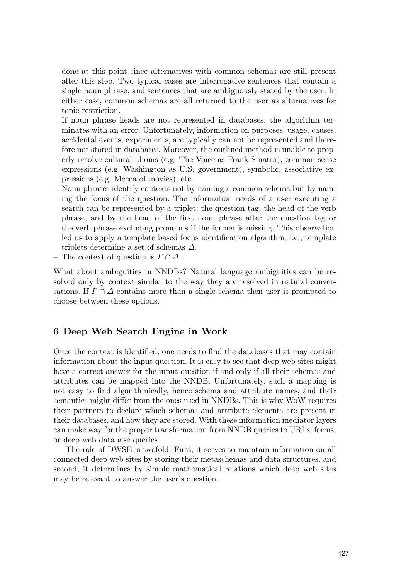done at this point since alternatives with common schemas are still present after this step. Two typical cases are interrogative sentences that contain a single noun phrase, and sentences that are ambiguously stated by the user. In either case, common schemas are all returned to the user as alternatives for topic restriction.

If noun phrase heads are not represented in databases, the algorithm terminates with an error. Unfortunately, information on purposes, usage, causes, accidental events, experiments, are typically can not be represented and therefore not stored in databases. Moreover, the outlined method is unable to properly resolve cultural idioms (e.g. The Voice as Frank Sinatra), common sense expressions (e.g. Washington as U.S. government), symbolic, associative expressions (e.g. Mecca of movies), etc.

- Noun phrases identify contexts not by naming a common schema but by naming the focus of the question. The information needs of a user executing a search can be represented by a triplet: the question tag, the head of the verb phrase, and by the head of the first noun phrase after the question tag or the verb phrase excluding pronouns if the former is missing. This observation led us to apply a template based focus identification algorithm, i.e., template triplets determine a set of schemas  $\Delta$ .
- The context of question is  $\Gamma \cap \Delta$ .

What about ambiguities in NNDBs? Natural language ambiguities can be resolved only by context similar to the way they are resolved in natural conversations. If  $\Gamma \cap \Delta$  contains more than a single schema then user is prompted to choose between these options.

### **6 Deep Web Search Engine in Work**

Once the context is identified, one needs to find the databases that may contain information about the input question. It is easy to see that deep web sites might have a correct answer for the input question if and only if all their schemas and attributes can be mapped into the NNDB. Unfortunately, such a mapping is not easy to find algorithmically, hence schema and attribute names, and their semantics might differ from the ones used in NNDBs. This is why WoW requires their partners to declare which schemas and attribute elements are present in their databases, and how they are stored. With these information mediator layers can make way for the proper transformation from NNDB queries to URLs, forms, or deep web database queries.

The role of DWSE is twofold. First, it serves to maintain information on all connected deep web sites by storing their metaschemas and data structures, and second, it determines by simple mathematical relations which deep web sites may be relevant to answer the user's question.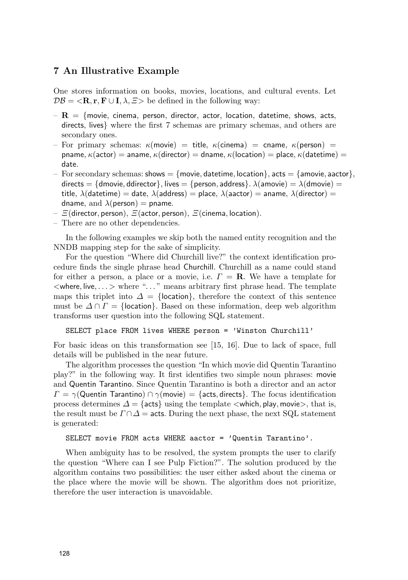### **7 An Illustrative Example**

One stores information on books, movies, locations, and cultural events. Let  $\mathcal{DB} = \langle \mathbf{R}, \mathbf{r}, \mathbf{F} \cup \mathbf{I}, \lambda, \Xi \rangle$  be defined in the following way:

- $\bf{R}$  = {movie, cinema, person, director, actor, location, datetime, shows, acts, directs, lives} where the first 7 schemas are primary schemas, and others are secondary ones.
- For primary schemas:  $\kappa$ (movie) = title,  $\kappa$ (cinema) = cname,  $\kappa$ (person) = pname,  $\kappa$ (actor) = aname,  $\kappa$ (director) = dname,  $\kappa$ (location) = place,  $\kappa$ (datetime) = date.
- For secondary schemas: shows  $= \{$  movie, datetime, location $\}$ , acts  $= \{$  amovie, aactor $\}$ , directs = {dmovie, ddirector}, lives = {person, address}.  $\lambda$ (amovie) =  $\lambda$ (dmovie) = title,  $\lambda$ (datetime) = date,  $\lambda$ (address) = place,  $\lambda$ (aactor) = aname,  $\lambda$ (director) = dname, and  $\lambda$ (person) = pname.
- $E$ (director, person),  $E$ (actor, person),  $E$ (cinema, location).
- There are no other dependencies.

In the following examples we skip both the named entity recognition and the NNDB mapping step for the sake of simplicity.

For the question "Where did Churchill live?" the context identification procedure finds the single phrase head Churchill. Churchill as a name could stand for either a person, a place or a movie, i.e.  $\Gamma = \mathbf{R}$ . We have a template for  $\langle$  where, live,...  $>$  where "..." means arbitrary first phrase head. The template maps this triplet into  $\Delta = \{$ location $\}$ , therefore the context of this sentence must be  $\Delta \cap \Gamma = \{$ location $\}$ . Based on these information, deep web algorithm transforms user question into the following SQL statement.

SELECT place FROM lives WHERE person = 'Winston Churchill'

For basic ideas on this transformation see [15, 16]. Due to lack of space, full details will be published in the near future.

The algorithm processes the question "In which movie did Quentin Tarantino play?" in the following way. It first identifies two simple noun phrases: movie and Quentin Tarantino. Since Quentin Tarantino is both a director and an actor  $\Gamma = \gamma$ (Quentin Tarantino)  $\cap \gamma$ (movie) = {acts, directs}. The focus identification process determines  $\Delta = \{\text{acts}\}$  using the template  $\langle$  which, play, movie $\rangle$ , that is, the result must be  $\Gamma \cap \Delta =$  acts. During the next phase, the next SQL statement is generated:

#### SELECT movie FROM acts WHERE aactor = 'Quentin Tarantino'.

When ambiguity has to be resolved, the system prompts the user to clarify the question "Where can I see Pulp Fiction?". The solution produced by the algorithm contains two possibilities: the user either asked about the cinema or the place where the movie will be shown. The algorithm does not prioritize, therefore the user interaction is unavoidable.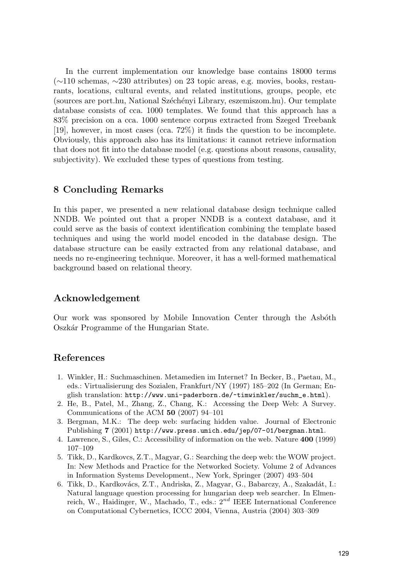In the current implementation our knowledge base contains 18000 terms (∼110 schemas, ∼230 attributes) on 23 topic areas, e.g. movies, books, restaurants, locations, cultural events, and related institutions, groups, people, etc (sources are port.hu, National Sz´ech´enyi Library, eszemiszom.hu). Our template database consists of cca. 1000 templates. We found that this approach has a 83% precision on a cca. 1000 sentence corpus extracted from Szeged Treebank [19], however, in most cases (cca. 72%) it finds the question to be incomplete. Obviously, this approach also has its limitations: it cannot retrieve information that does not fit into the database model (e.g. questions about reasons, causality, subjectivity). We excluded these types of questions from testing.

### **8 Concluding Remarks**

In this paper, we presented a new relational database design technique called NNDB. We pointed out that a proper NNDB is a context database, and it could serve as the basis of context identification combining the template based techniques and using the world model encoded in the database design. The database structure can be easily extracted from any relational database, and needs no re-engineering technique. Moreover, it has a well-formed mathematical background based on relational theory.

### **Acknowledgement**

Our work was sponsored by Mobile Innovation Center through the Asboth Oszk´ar Programme of the Hungarian State.

#### **References**

- 1. Winkler, H.: Suchmaschinen. Metamedien im Internet? In Becker, B., Paetau, M., eds.: Virtualisierung des Sozialen, Frankfurt/NY (1997) 185–202 (In German; English translation: http://www.uni-paderborn.de/~timwinkler/suchm\_e.html).
- 2. He, B., Patel, M., Zhang, Z., Chang, K.: Accessing the Deep Web: A Survey. Communications of the ACM **50** (2007) 94–101
- 3. Bergman, M.K.: The deep web: surfacing hidden value. Journal of Electronic Publishing **7** (2001) http://www.press.umich.edu/jep/07-01/bergman.html.
- 4. Lawrence, S., Giles, C.: Accessibility of information on the web. Nature **400** (1999) 107–109
- 5. Tikk, D., Kardkovcs, Z.T., Magyar, G.: Searching the deep web: the WOW project. In: New Methods and Practice for the Networked Society. Volume 2 of Advances in Information Systems Development., New York, Springer (2007) 493–504
- 6. Tikk, D., Kardkovács, Z.T., Andriska, Z., Magyar, G., Babarczy, A., Szakadát, I.: Natural language question processing for hungarian deep web searcher. In Elmenreich, W., Haidinger, W., Machado, T., eds.:  $2^{nd}$  IEEE International Conference on Computational Cybernetics, ICCC 2004, Vienna, Austria (2004) 303–309